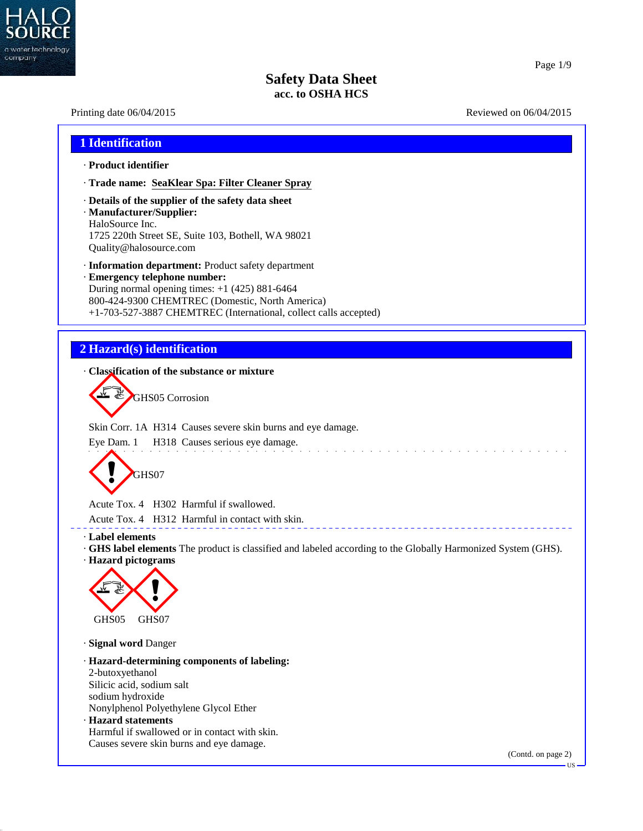

40.2.7

## Page 1/9

# **Safety Data Sheet acc. to OSHA HCS**

| 1 Identification                                                                                                                                                                                                                                                |  |
|-----------------------------------------------------------------------------------------------------------------------------------------------------------------------------------------------------------------------------------------------------------------|--|
| · Product identifier                                                                                                                                                                                                                                            |  |
| · Trade name: SeaKlear Spa: Filter Cleaner Spray                                                                                                                                                                                                                |  |
| Details of the supplier of the safety data sheet<br>· Manufacturer/Supplier:<br>HaloSource Inc.<br>1725 220th Street SE, Suite 103, Bothell, WA 98021<br>Quality@halosource.com                                                                                 |  |
| · Information department: Product safety department<br>· Emergency telephone number:<br>During normal opening times: $+1$ (425) 881-6464<br>800-424-9300 CHEMTREC (Domestic, North America)<br>+1-703-527-3887 CHEMTREC (International, collect calls accepted) |  |
|                                                                                                                                                                                                                                                                 |  |
| 2 Hazard(s) identification                                                                                                                                                                                                                                      |  |
| Classification of the substance or mixture                                                                                                                                                                                                                      |  |
| GHS05 Corrosion<br>Skin Corr. 1A H314 Causes severe skin burns and eye damage.                                                                                                                                                                                  |  |
| Eye Dam. 1 H318 Causes serious eye damage.                                                                                                                                                                                                                      |  |
| GHS07                                                                                                                                                                                                                                                           |  |
| Acute Tox. 4 H302 Harmful if swallowed.                                                                                                                                                                                                                         |  |
| Acute Tox. 4 H312 Harmful in contact with skin.                                                                                                                                                                                                                 |  |
| · Label elements                                                                                                                                                                                                                                                |  |
|                                                                                                                                                                                                                                                                 |  |
|                                                                                                                                                                                                                                                                 |  |
| GHS05<br>GHS07                                                                                                                                                                                                                                                  |  |
|                                                                                                                                                                                                                                                                 |  |
| 2-butoxyethanol                                                                                                                                                                                                                                                 |  |
| Silicic acid, sodium salt                                                                                                                                                                                                                                       |  |
| · Signal word Danger<br>sodium hydroxide                                                                                                                                                                                                                        |  |
| Nonylphenol Polyethylene Glycol Ether                                                                                                                                                                                                                           |  |
| · GHS label elements The product is classified and labeled according to the Globally Harmonized System (GHS).<br>· Hazard pictograms<br>· Hazard-determining components of labeling:<br>· Hazard statements<br>Harmful if swallowed or in contact with skin.    |  |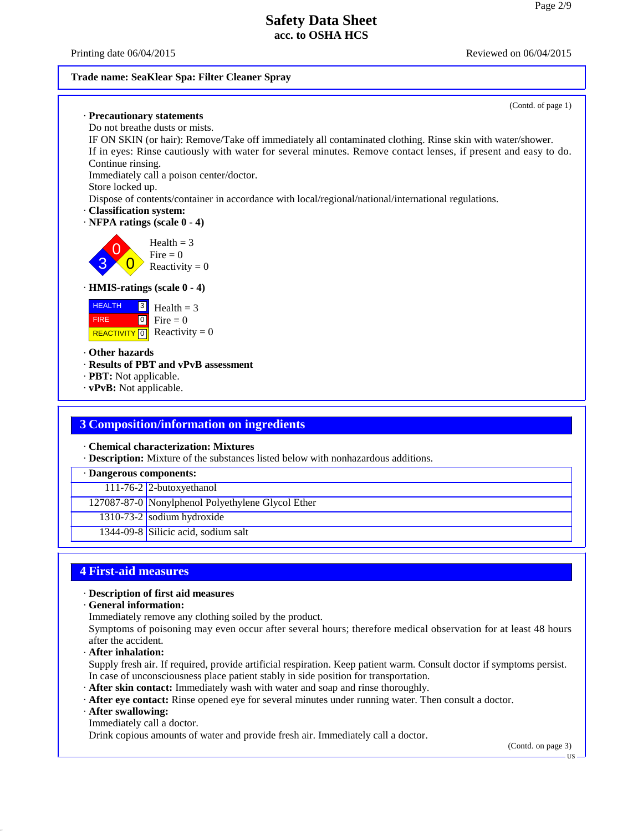Printing date  $06/04/2015$  Reviewed on  $06/04/2015$ 

#### **Trade name: SeaKlear Spa: Filter Cleaner Spray**



#### **3 Composition/information on ingredients**

· **Chemical characterization: Mixtures**

· **Description:** Mixture of the substances listed below with nonhazardous additions.

· **Dangerous components:**

111-76-2 2-butoxyethanol

127087-87-0 Nonylphenol Polyethylene Glycol Ether

 $1310-73-2$  sodium hydroxide

1344-09-8 Silicic acid, sodium salt

#### **4 First-aid measures**

#### · **Description of first aid measures**

· **General information:**

Immediately remove any clothing soiled by the product.

Symptoms of poisoning may even occur after several hours; therefore medical observation for at least 48 hours after the accident.

· **After inhalation:**

Supply fresh air. If required, provide artificial respiration. Keep patient warm. Consult doctor if symptoms persist. In case of unconsciousness place patient stably in side position for transportation.

- · **After skin contact:** Immediately wash with water and soap and rinse thoroughly.
- · **After eye contact:** Rinse opened eye for several minutes under running water. Then consult a doctor.
- · **After swallowing:**

40.2.7

Immediately call a doctor.

Drink copious amounts of water and provide fresh air. Immediately calla doctor.

(Contd. on page 3)

US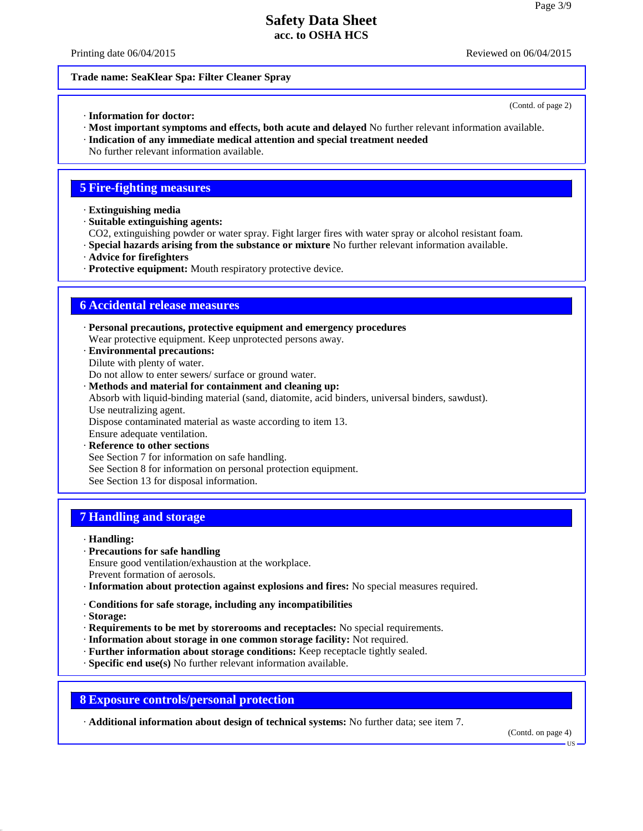Printing date  $06/04/2015$  Reviewed on  $06/04/2015$ 

(Contd. of page 2)

#### **Trade name: SeaKlear Spa: Filter Cleaner Spray**

- · **Information for doctor:**
- · **Most important symptoms and effects, both acute and delayed** No further relevant information available.
- · **Indication of any immediate medical attention and special treatment needed**
- No further relevant information available.

#### **5 Fire-fighting measures**

- · **Extinguishing media**
- · **Suitable extinguishing agents:**
- CO2, extinguishing powder or water spray. Fight larger fires with water spray or alcohol resistant foam.
- · **Special hazards arising from the substance or mixture** No further relevant information available.
- · **Advice for firefighters**
- · **Protective equipment:** Mouth respiratory protective device.

### **6 Accidental release measures**

· **Personal precautions, protective equipment and emergency procedures** Wear protective equipment. Keep unprotected persons away. · **Environmental precautions:**

Dilute with plenty of water.

Do not allow to enter sewers/ surface or ground water.

- · **Methods and material for containment and cleaning up:** Absorb with liquid-binding material (sand, diatomite, acid binders, universal binders, sawdust). Use neutralizing agent. Dispose contaminated material as waste according to item 13. Ensure adequate ventilation.
- · **Reference to other sections** See Section 7 for information on safe handling. See Section 8 for information on personal protection equipment. See Section 13 for disposal information.

## **7 Handling and storage**

- · **Handling:**
- · **Precautions for safe handling**
- Ensure good ventilation/exhaustion at the workplace.
- Prevent formation of aerosols.
- · **Information about protection against explosions and fires:** No special measures required.
- · **Conditions for safe storage, including any incompatibilities**
- · **Storage:**

40.2.7

- · **Requirements to be met by storerooms and receptacles:** No special requirements.
- · **Information about storage in one common storage facility:** Not required.
- · **Further information about storage conditions:** Keep receptacle tightly sealed.
- · **Specific end use(s)** No further relevant information available.

**8 Exposure controls/personal protection**

· **Additional information about design of technical systems:** No further data; see item 7.

(Contd. on page 4)

US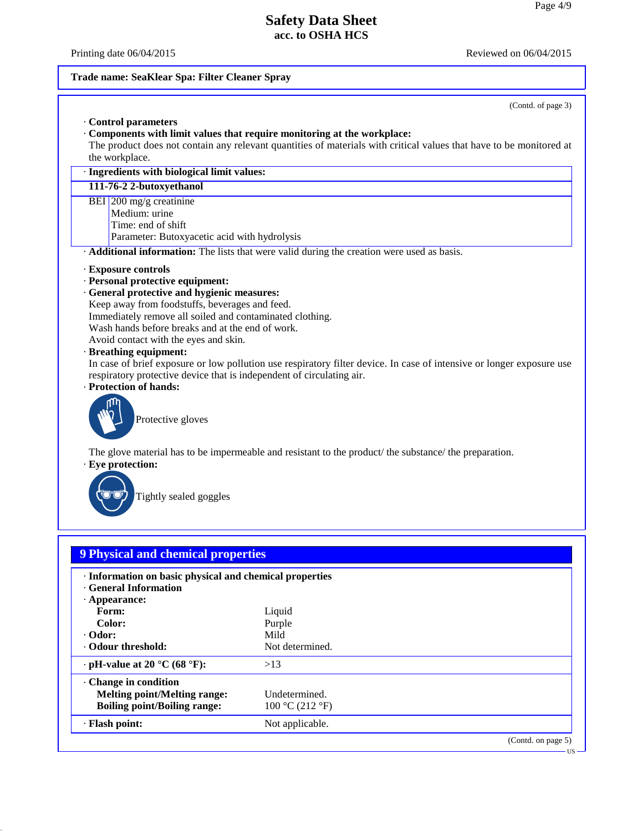US

# **Safety Data Sheet acc. to OSHA HCS**

40.2.7

Printing date  $06/04/2015$  Reviewed on  $06/04/2015$ 

# **Trade name: SeaKlear Spa: Filter Cleaner Spray**

| the workplace.<br>· Ingredients with biological limit values:                                                                                                                                                                                                                                                                                                                                                                                                                                                                                                                                |
|----------------------------------------------------------------------------------------------------------------------------------------------------------------------------------------------------------------------------------------------------------------------------------------------------------------------------------------------------------------------------------------------------------------------------------------------------------------------------------------------------------------------------------------------------------------------------------------------|
| 111-76-2 2-butoxyethanol                                                                                                                                                                                                                                                                                                                                                                                                                                                                                                                                                                     |
| BEI 200 mg/g creatinine<br>Medium: urine<br>Time: end of shift<br>Parameter: Butoxyacetic acid with hydrolysis                                                                                                                                                                                                                                                                                                                                                                                                                                                                               |
| · Additional information: The lists that were valid during the creation were used as basis.                                                                                                                                                                                                                                                                                                                                                                                                                                                                                                  |
| · Exposure controls<br>· Personal protective equipment:<br>· General protective and hygienic measures:<br>Keep away from foodstuffs, beverages and feed.<br>Immediately remove all soiled and contaminated clothing.<br>Wash hands before breaks and at the end of work.<br>Avoid contact with the eyes and skin.<br>· Breathing equipment:<br>In case of brief exposure or low pollution use respiratory filter device. In case of intensive or longer exposure use<br>respiratory protective device that is independent of circulating air.<br>· Protection of hands:<br>Protective gloves |
| The glove material has to be impermeable and resistant to the product/ the substance/ the preparation.<br>· Eye protection:<br>Tightly sealed goggles                                                                                                                                                                                                                                                                                                                                                                                                                                        |

| . Imormation on basic physical and chemical properties<br><b>General Information</b> |                 |                    |
|--------------------------------------------------------------------------------------|-----------------|--------------------|
| $\cdot$ Appearance:                                                                  |                 |                    |
| Form:                                                                                | Liquid          |                    |
| Color:                                                                               | Purple          |                    |
| $\cdot$ Odor:                                                                        | Mild            |                    |
| Odour threshold:                                                                     | Not determined. |                    |
| $\cdot$ pH-value at 20 °C (68 °F):                                                   | >13             |                    |
| Change in condition                                                                  |                 |                    |
| <b>Melting point/Melting range:</b>                                                  | Undetermined.   |                    |
| <b>Boiling point/Boiling range:</b>                                                  | 100 °C (212 °F) |                    |
| · Flash point:                                                                       | Not applicable. |                    |
|                                                                                      |                 | (Contd. on page 5) |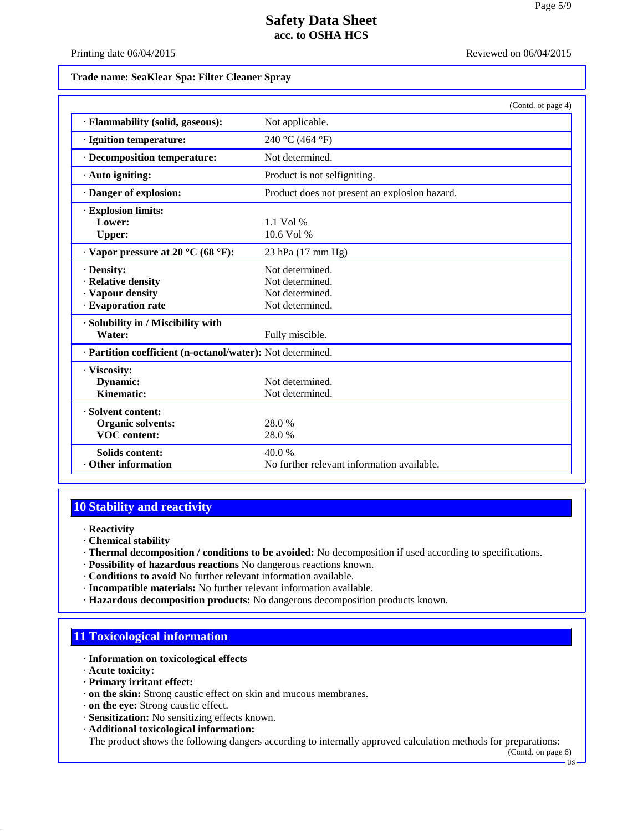Printing date  $06/04/2015$  Reviewed on  $06/04/2015$ 

**Trade name: SeaKlear Spa: Filter Cleaner Spray**

|                                                            |                                               | (Contd. of page 4) |
|------------------------------------------------------------|-----------------------------------------------|--------------------|
| · Flammability (solid, gaseous):                           | Not applicable.                               |                    |
| · Ignition temperature:                                    | 240 °C (464 °F)                               |                    |
| · Decomposition temperature:                               | Not determined.                               |                    |
| $\cdot$ Auto igniting:                                     | Product is not selfigniting.                  |                    |
| Danger of explosion:                                       | Product does not present an explosion hazard. |                    |
| <b>Explosion limits:</b>                                   |                                               |                    |
| Lower:                                                     | $1.1$ Vol %                                   |                    |
| <b>Upper:</b>                                              | $10.6$ Vol %                                  |                    |
| $\cdot$ Vapor pressure at 20 °C (68 °F):                   | 23 hPa (17 mm Hg)                             |                    |
| · Density:                                                 | Not determined.                               |                    |
| · Relative density                                         | Not determined.                               |                    |
| · Vapour density                                           | Not determined.                               |                    |
| · Evaporation rate                                         | Not determined.                               |                    |
| · Solubility in / Miscibility with                         |                                               |                    |
| Water:                                                     | Fully miscible.                               |                    |
| · Partition coefficient (n-octanol/water): Not determined. |                                               |                    |
| · Viscosity:                                               |                                               |                    |
| Dynamic:                                                   | Not determined.                               |                    |
| Kinematic:                                                 | Not determined.                               |                    |
| · Solvent content:                                         |                                               |                    |
| Organic solvents:                                          | 28.0%                                         |                    |
| <b>VOC</b> content:                                        | 28.0%                                         |                    |
| <b>Solids content:</b>                                     | 40.0%                                         |                    |
| Other information                                          | No further relevant information available.    |                    |

## **10 Stability and reactivity**

· **Reactivity**

- · **Chemical stability**
- · **Thermal decomposition / conditions to be avoided:** No decomposition if used according to specifications.
- · **Possibility of hazardous reactions** No dangerous reactions known.
- · **Conditions to avoid** No further relevant information available.
- · **Incompatible materials:** No further relevant information available.
- · **Hazardous decomposition products:** No dangerous decomposition products known.

## **11 Toxicological information**

- · **Information on toxicological effects**
- · **Acute toxicity:**

40.2.7

- · **Primary irritant effect:**
- · **on the skin:** Strong caustic effect on skin and mucous membranes.
- · **on the eye:** Strong caustic effect.
- · **Sensitization:** No sensitizing effects known.
- · **Additional toxicological information:**

The product shows the following dangers according to internally approved calculation methods for preparations:

(Contd. on page 6)

US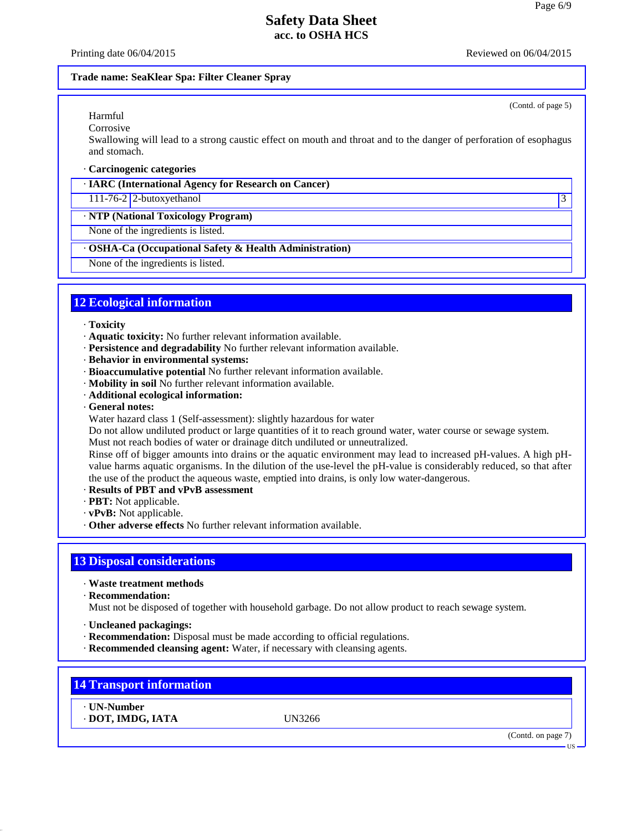Printing date  $06/04/2015$  Reviewed on  $06/04/2015$ 

(Contd. of page 5)

#### **Trade name: SeaKlear Spa: Filter Cleaner Spray**

## Harmful

Corrosive

Swallowing will lead to a strong caustic effect on mouth and throat and to the danger of perforation of esophagus and stomach.

#### · **Carcinogenic categories**

· **IARC (International Agency for Research on Cancer)**

111-76-2 2-butoxyethanol 3

· **NTP (National Toxicology Program)**

None of the ingredients is listed.

#### · **OSHA-Ca (Occupational Safety & Health Administration)**

None of the ingredients is listed.

### **12 Ecological information**

#### · **Toxicity**

- · **Aquatic toxicity:** No further relevant information available.
- · **Persistence and degradability** No further relevant information available.
- · **Behavior in environmental systems:**
- · **Bioaccumulative potential** No further relevant information available.
- · **Mobility in soil** No further relevant information available.
- · **Additional ecological information:**
- · **General notes:**
- Water hazard class 1 (Self-assessment): slightly hazardous for water

Do not allow undiluted product or large quantities of it to reach ground water, water course or sewage system. Must not reach bodies of water or drainage ditch undiluted or unneutralized.

Rinse off of bigger amounts into drains or the aquatic environment may lead to increased pH-values. A high pH value harms aquatic organisms. In the dilution of the use-level the pH-value is considerably reduced, so that after the use of the product the aqueous waste, emptied into drains, is only low water-dangerous.

- · **Results of PBT and vPvB assessment**
- · **PBT:** Not applicable.
- · **vPvB:** Not applicable.
- · **Other adverse effects** No further relevant information available.

## **13 Disposal considerations**

· **Waste treatment methods**

· **Recommendation:**

Must not be disposed of together with household garbage. Do not allow product to reach sewage system.

- · **Uncleaned packagings:**
- · **Recommendation:** Disposal must be made according to official regulations.
- · **Recommended cleansing agent:** Water, if necessary with cleansing agents.

## **14 Transport information**

· **UN-Number** · **DOT, IMDG, IATA** UN3266

40.2.7

(Contd. on page 7)

US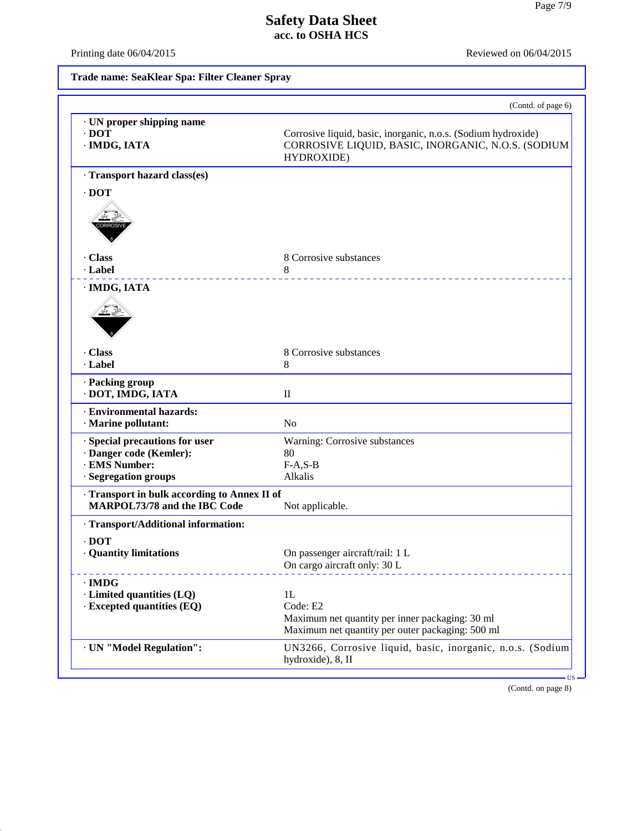Printing date  $06/04/2015$  Reviewed on  $06/04/2015$ 

40.2.7

**Trade name: SeaKlear Spa: Filter Cleaner Spray**

| · UN proper shipping name                       |                                                                                                                                   |
|-------------------------------------------------|-----------------------------------------------------------------------------------------------------------------------------------|
| $\cdot$ DOT<br>· IMDG, IATA                     | Corrosive liquid, basic, inorganic, n.o.s. (Sodium hydroxide)<br>CORROSIVE LIQUID, BASIC, INORGANIC, N.O.S. (SODIUM<br>HYDROXIDE) |
| · Transport hazard class(es)                    |                                                                                                                                   |
| $\cdot$ DOT                                     |                                                                                                                                   |
| . Class<br>· Label                              | 8 Corrosive substances<br>8<br>.                                                                                                  |
| · IMDG, IATA                                    |                                                                                                                                   |
| · Class                                         | 8 Corrosive substances                                                                                                            |
| · Label                                         | 8                                                                                                                                 |
| · Packing group<br>DOT, IMDG, IATA              | $\rm II$                                                                                                                          |
| · Environmental hazards:<br>· Marine pollutant: | N <sub>o</sub>                                                                                                                    |
| Special precautions for user                    | Warning: Corrosive substances                                                                                                     |
| · Danger code (Kemler):<br>· EMS Number:        | 80                                                                                                                                |
| · Segregation groups                            | $F-A, S-B$<br>Alkalis                                                                                                             |
| · Transport in bulk according to Annex II of    |                                                                                                                                   |
| MARPOL73/78 and the IBC Code                    | Not applicable.                                                                                                                   |
| · Transport/Additional information:             |                                                                                                                                   |
| $\cdot$ DOT                                     |                                                                                                                                   |
| · Quantity limitations                          | On passenger aircraft/rail: 1 L<br>On cargo aircraft only: 30 L                                                                   |
| $\cdot$ IMDG                                    |                                                                                                                                   |
| · Limited quantities (LQ)                       | 1L                                                                                                                                |
| · Excepted quantities (EQ)                      | Code: E2<br>Maximum net quantity per inner packaging: 30 ml<br>Maximum net quantity per outer packaging: 500 ml                   |
| · UN "Model Regulation":                        | UN3266, Corrosive liquid, basic, inorganic, n.o.s. (Sodium<br>hydroxide), 8, II                                                   |

(Contd. on page 8)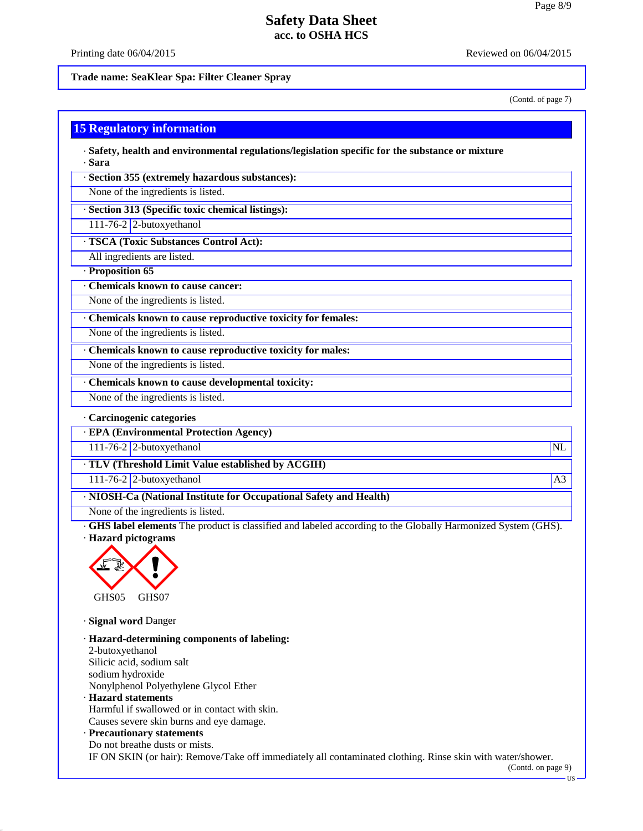Printing date  $06/04/2015$  Reviewed on  $06/04/2015$ 

**Trade name: SeaKlear Spa: Filter Cleaner Spray**

(Contd. of page 7)

#### **15 Regulatory information**

· **Safety, health and environmental regulations/legislation specific for the substance or mixture** · **Sara**

· **Section 355 (extremely hazardous substances):**

None of the ingredients is listed.

· **Section 313 (Specific toxic chemical listings):**

111-76-2 2-butoxyethanol

· **TSCA (Toxic Substances Control Act):**

All ingredients are listed.

· **Proposition 65**

· **Chemicals known to cause cancer:**

None of the ingredients is listed.

· **Chemicals known to cause reproductive toxicity for females:**

None of the ingredients is listed.

· **Chemicals known to cause reproductive toxicity for males:**

None of the ingredients is listed.

· **Chemicals known to cause developmental toxicity:**

None of the ingredients is listed.

· **Carcinogenic categories**

· **EPA (Environmental Protection Agency)**

111-76-2 2-butoxyethanol NL

· **TLV (Threshold Limit Value established by ACGIH)**

111-76-2 2-butoxyethanol and the state of the state of the state of the state of the state of the state of the state of the state of the state of the state of the state of the state of the state of the state of the state o

· **NIOSH-Ca (National Institute for Occupational Safety and Health)**

None of the ingredients is listed.

· **GHS label elements** The product is classified and labeled according to the Globally Harmonized System (GHS). · **Hazard pictograms**



· **Signal word** Danger

40.2.7

· **Hazard-determining components of labeling:** 2-butoxyethanol Silicic acid, sodium salt sodium hydroxide Nonylphenol Polyethylene Glycol Ether · **Hazard statements** Harmful if swallowed or in contact with skin. Causes severe skin burns and eye damage. · **Precautionary statements** Do not breathe dusts or mists.

IF ON SKIN (or hair): Remove/Take off immediately all contaminated clothing. Rinse skin with water/shower.

(Contd. on page 9)